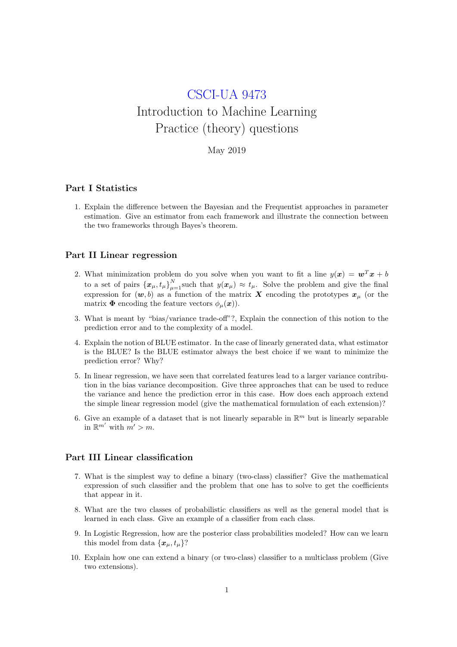# CSCI-UA 9473 Introduction to Machine Learning Practice (theory) questions

# May 2019

### Part I Statistics

1. Explain the difference between the Bayesian and the Frequentist approaches in parameter estimation. Give an estimator from each framework and illustrate the connection between the two frameworks through Bayes's theorem.

#### Part II Linear regression

- 2. What minimization problem do you solve when you want to fit a line  $y(x) = w^T x + b$ to a set of pairs  $\{x_{\mu}, t_{\mu}\}_{\mu=1}^{N}$  such that  $y(x_{\mu}) \approx t_{\mu}$ . Solve the problem and give the final expression for  $(w, b)$  as a function of the matrix X encoding the prototypes  $x_{\mu}$  (or the matrix  $\Phi$  encoding the feature vectors  $\phi_{\mu}(\boldsymbol{x})$ .
- 3. What is meant by "bias/variance trade-off"?, Explain the connection of this notion to the prediction error and to the complexity of a model.
- 4. Explain the notion of BLUE estimator. In the case of linearly generated data, what estimator is the BLUE? Is the BLUE estimator always the best choice if we want to minimize the prediction error? Why?
- 5. In linear regression, we have seen that correlated features lead to a larger variance contribution in the bias variance decomposition. Give three approaches that can be used to reduce the variance and hence the prediction error in this case. How does each approach extend the simple linear regression model (give the mathematical formulation of each extension)?
- 6. Give an example of a dataset that is not linearly separable in  $\mathbb{R}^m$  but is linearly separable in  $\mathbb{R}^{m'}$  with  $m' > m$ .

### Part III Linear classification

- 7. What is the simplest way to define a binary (two-class) classifier? Give the mathematical expression of such classifier and the problem that one has to solve to get the coefficients that appear in it.
- 8. What are the two classes of probabilistic classifiers as well as the general model that is learned in each class. Give an example of a classifier from each class.
- 9. In Logistic Regression, how are the posterior class probabilities modeled? How can we learn this model from data  $\{\boldsymbol{x}_u, t_u\}$ ?
- 10. Explain how one can extend a binary (or two-class) classifier to a multiclass problem (Give two extensions).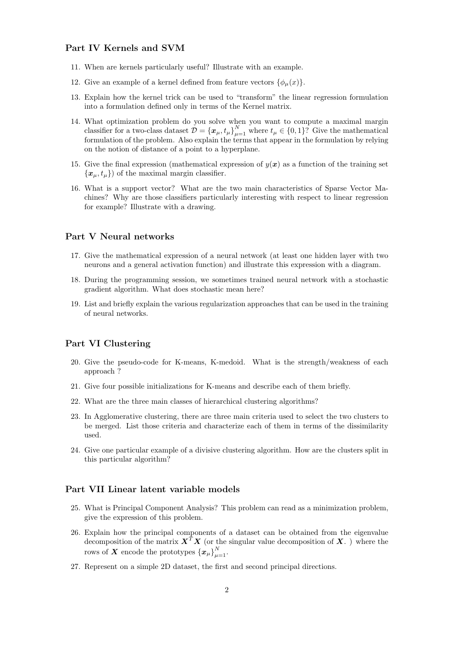# Part IV Kernels and SVM

- 11. When are kernels particularly useful? Illustrate with an example.
- 12. Give an example of a kernel defined from feature vectors  $\{\phi_u(x)\}.$
- 13. Explain how the kernel trick can be used to "transform" the linear regression formulation into a formulation defined only in terms of the Kernel matrix.
- 14. What optimization problem do you solve when you want to compute a maximal margin classifier for a two-class dataset  $\mathcal{D} = \{\boldsymbol{x}_{\mu}, t_{\mu}\}_{\mu=1}^{N}$  where  $t_{\mu} \in \{0, 1\}$ ? Give the mathematical formulation of the problem. Also explain the terms that appear in the formulation by relying on the notion of distance of a point to a hyperplane.
- 15. Give the final expression (mathematical expression of  $y(x)$  as a function of the training set  ${x_{\mu}, t_{\mu}}$  of the maximal margin classifier.
- 16. What is a support vector? What are the two main characteristics of Sparse Vector Machines? Why are those classifiers particularly interesting with respect to linear regression for example? Illustrate with a drawing.

## Part V Neural networks

- 17. Give the mathematical expression of a neural network (at least one hidden layer with two neurons and a general activation function) and illustrate this expression with a diagram.
- 18. During the programming session, we sometimes trained neural network with a stochastic gradient algorithm. What does stochastic mean here?
- 19. List and briefly explain the various regularization approaches that can be used in the training of neural networks.

## Part VI Clustering

- 20. Give the pseudo-code for K-means, K-medoid. What is the strength/weakness of each approach ?
- 21. Give four possible initializations for K-means and describe each of them briefly.
- 22. What are the three main classes of hierarchical clustering algorithms?
- 23. In Agglomerative clustering, there are three main criteria used to select the two clusters to be merged. List those criteria and characterize each of them in terms of the dissimilarity used.
- 24. Give one particular example of a divisive clustering algorithm. How are the clusters split in this particular algorithm?

#### Part VII Linear latent variable models

- 25. What is Principal Component Analysis? This problem can read as a minimization problem, give the expression of this problem.
- 26. Explain how the principal components of a dataset can be obtained from the eigenvalue decomposition of the matrix  $X^T X$  (or the singular value decomposition of X.) where the rows of  $\boldsymbol{X}$  encode the prototypes  $\{\boldsymbol{x}_{\mu}\}_{\mu=1}^{N}$ .
- 27. Represent on a simple 2D dataset, the first and second principal directions.